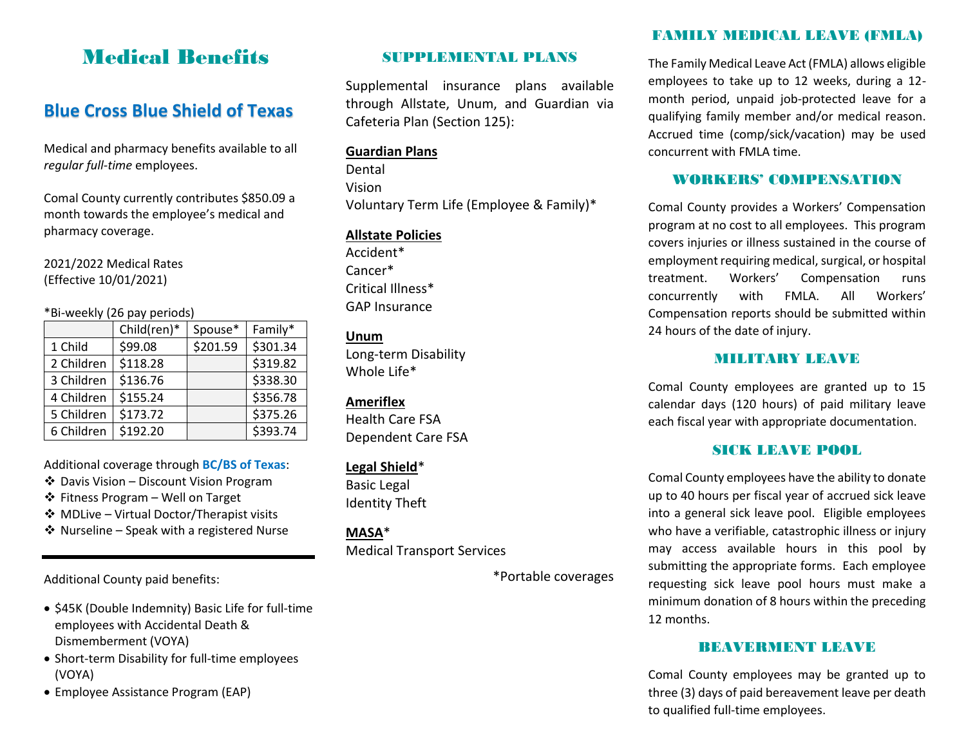# Medical Benefits

## **Blue Cross Blue Shield of Texas**

Medical and pharmacy benefits available to all *regular full-time* employees.

Comal County currently contributes \$850.09 a month towards the employee's medical and pharmacy coverage.

2021/2022 Medical Rates (Effective 10/01/2021)

#### \*Bi-weekly (26 pay periods)

|            | Child(ren)* | Spouse*  | Family*  |
|------------|-------------|----------|----------|
| 1 Child    | \$99.08     | \$201.59 | \$301.34 |
| 2 Children | \$118.28    |          | \$319.82 |
| 3 Children | \$136.76    |          | \$338.30 |
| 4 Children | \$155.24    |          | \$356.78 |
| 5 Children | \$173.72    |          | \$375.26 |
| 6 Children | \$192.20    |          | \$393.74 |

Additional coverage through **BC/BS of Texas**:

- Davis Vision Discount Vision Program
- Fitness Program Well on Target
- MDLive Virtual Doctor/Therapist visits
- Nurseline Speak with a registered Nurse

Additional County paid benefits:

- \$45K (Double Indemnity) Basic Life for full-time employees with Accidental Death & Dismemberment (VOYA)
- Short-term Disability for full-time employees (VOYA)
- Employee Assistance Program (EAP)

### SUPPLEMENTAL PLANS

Supplemental insurance plans available through Allstate, Unum, and Guardian via Cafeteria Plan (Section 125):

#### **Guardian Plans**

Dental Vision Voluntary Term Life (Employee & Family)\*

#### **Allstate Policies**

Accident\* Cancer\* Critical Illness\* GAP Insurance

**Unum** Long-term Disability Whole Life\*

#### **Ameriflex**

Health Care FSA Dependent Care FSA

#### **Legal Shield**\*

Basic Legal Identity Theft

**MASA**\* Medical Transport Services

\*Portable coverages

## FAMILY MEDICAL LEAVE (FMLA)

The Family Medical Leave Act (FMLA) allows eligible employees to take up to 12 weeks, during a 12 month period, unpaid job-protected leave for a qualifying family member and/or medical reason. Accrued time (comp/sick/vacation) may be used concurrent with FMLA time.

### WORKERS' COMPENSATION

Comal County provides a Workers' Compensation program at no cost to all employees. This program covers injuries or illness sustained in the course of employment requiring medical, surgical, or hospital treatment. Workers' Compensation runs concurrently with FMLA. All Workers' Compensation reports should be submitted within 24 hours of the date of injury.

### MILITARY LEAVE

Comal County employees are granted up to 15 calendar days (120 hours) of paid military leave each fiscal year with appropriate documentation.

### SICK LEAVE POOL

Comal County employees have the ability to donate up to 40 hours per fiscal year of accrued sick leave into a general sick leave pool. Eligible employees who have a verifiable, catastrophic illness or injury may access available hours in this pool by submitting the appropriate forms. Each employee requesting sick leave pool hours must make a minimum donation of 8 hours within the preceding 12 months.

### BEAVERMENT LEAVE

Comal County employees may be granted up to three (3) days of paid bereavement leave per death to qualified full-time employees.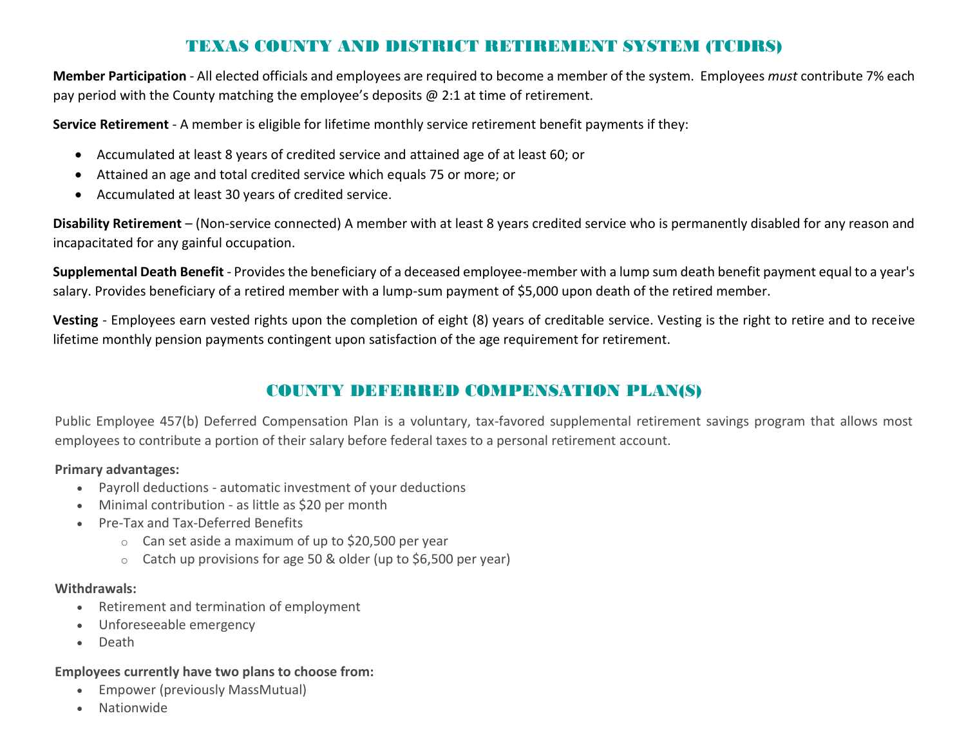## TEXAS COUNTY AND DISTRICT RETIREMENT SYSTEM (TCDRS)

**Member Participation** - All elected officials and employees are required to become a member of the system. Employees *must* contribute 7% each pay period with the County matching the employee's deposits  $\omega$  2:1 at time of retirement.

**Service Retirement** - A member is eligible for lifetime monthly service retirement benefit payments if they:

- Accumulated at least 8 years of credited service and attained age of at least 60; or
- Attained an age and total credited service which equals 75 or more; or
- Accumulated at least 30 years of credited service.

**Disability Retirement** – (Non-service connected) A member with at least 8 years credited service who is permanently disabled for any reason and incapacitated for any gainful occupation.

**Supplemental Death Benefit** - Provides the beneficiary of a deceased employee-member with a lump sum death benefit payment equal to a year's salary. Provides beneficiary of a retired member with a lump-sum payment of \$5,000 upon death of the retired member.

**Vesting** - Employees earn vested rights upon the completion of eight (8) years of creditable service. Vesting is the right to retire and to receive lifetime monthly pension payments contingent upon satisfaction of the age requirement for retirement.

## COUNTY DEFERRED COMPENSATION PLAN(S)

Public Employee 457(b) Deferred Compensation Plan is a voluntary, tax-favored supplemental retirement savings program that allows most employees to contribute a portion of their salary before federal taxes to a personal retirement account.

#### **Primary advantages:**

- Payroll deductions automatic investment of your deductions
- Minimal contribution as little as \$20 per month
- Pre-Tax and Tax-Deferred Benefits
	- $\circ$  Can set aside a maximum of up to \$20,500 per year
	- o Catch up provisions for age 50 & older (up to \$6,500 per year)

#### **Withdrawals:**

- Retirement and termination of employment
- Unforeseeable emergency
- Death

#### **Employees currently have two plans to choose from:**

- Empower (previously MassMutual)
- Nationwide